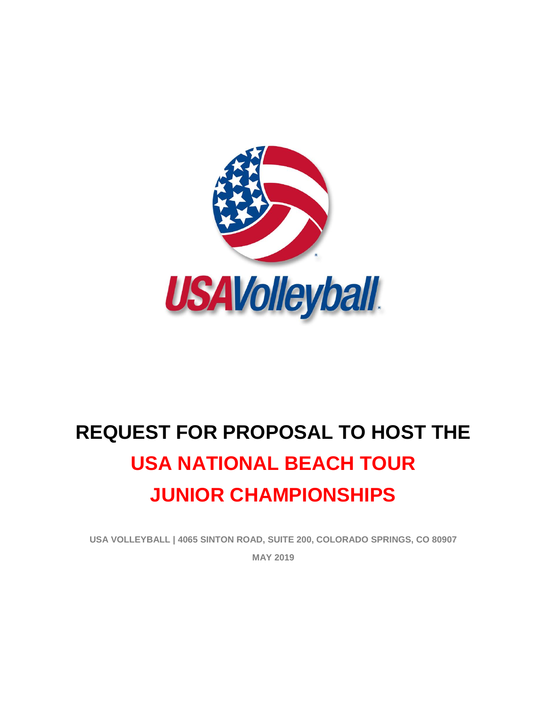

# **REQUEST FOR PROPOSAL TO HOST THE USA NATIONAL BEACH TOUR JUNIOR CHAMPIONSHIPS**

**USA VOLLEYBALL | 4065 SINTON ROAD, SUITE 200, COLORADO SPRINGS, CO 80907 MAY 2019**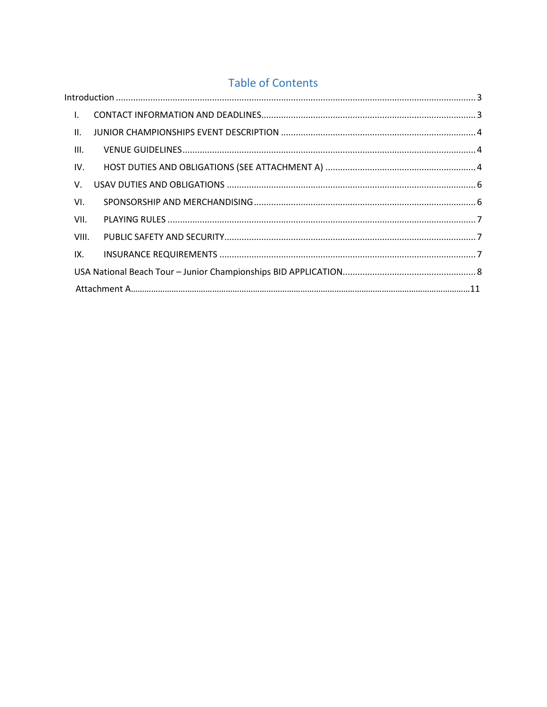# **Table of Contents**

| $\mathsf{L}$ |  |
|--------------|--|
| Ш.           |  |
| III.         |  |
| IV.          |  |
| V.           |  |
| VI.          |  |
| VII.         |  |
| VIII.        |  |
| IX.          |  |
|              |  |
|              |  |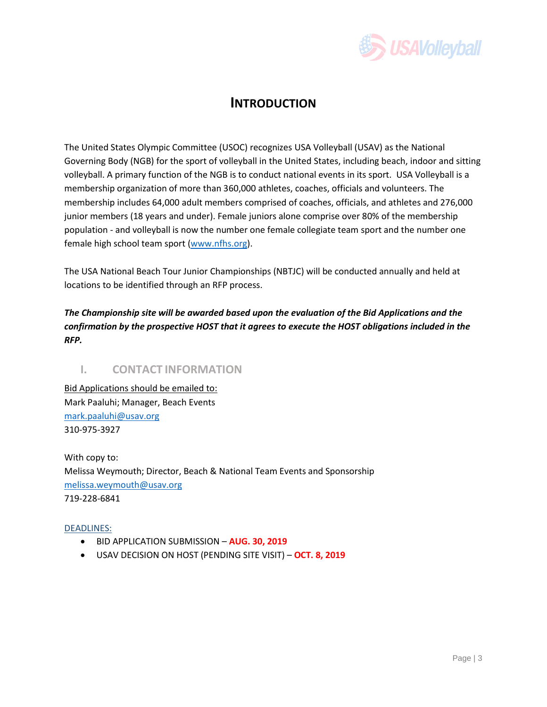

# **INTRODUCTION**

<span id="page-2-0"></span>The United States Olympic Committee (USOC) recognizes USA Volleyball (USAV) as the National Governing Body (NGB) for the sport of volleyball in the United States, including beach, indoor and sitting volleyball. A primary function of the NGB is to conduct national events in its sport. USA Volleyball is a membership organization of more than 360,000 athletes, coaches, officials and volunteers. The membership includes 64,000 adult members comprised of coaches, officials, and athletes and 276,000 junior members (18 years and under). Female juniors alone comprise over 80% of the membership population - and volleyball is now the number one female collegiate team sport and the number one female high school team sport [\(www.nfhs.org\)](http://www.nfhs.org/).

The USA National Beach Tour Junior Championships (NBTJC) will be conducted annually and held at locations to be identified through an RFP process.

*The Championship site will be awarded based upon the evaluation of the Bid Applications and the confirmation by the prospective HOST that it agrees to execute the HOST obligations included in the RFP.* 

# <span id="page-2-1"></span>**I. CONTACT INFORMATION**

Bid Applications should be emailed to: Mark Paaluhi; Manager, Beach Events [mark.paaluhi@usav.org](mailto:mark.paaluhi@usav.org) 310-975-3927

With copy to: Melissa Weymouth; Director, Beach & National Team Events and Sponsorship [melissa.weymouth@usav.org](mailto:melissa.weymouth@usav.org) 719-228-6841

#### DEADLINES:

- BID APPLICATION SUBMISSION **AUG. 30, 2019**
- USAV DECISION ON HOST (PENDING SITE VISIT) **OCT. 8, 2019**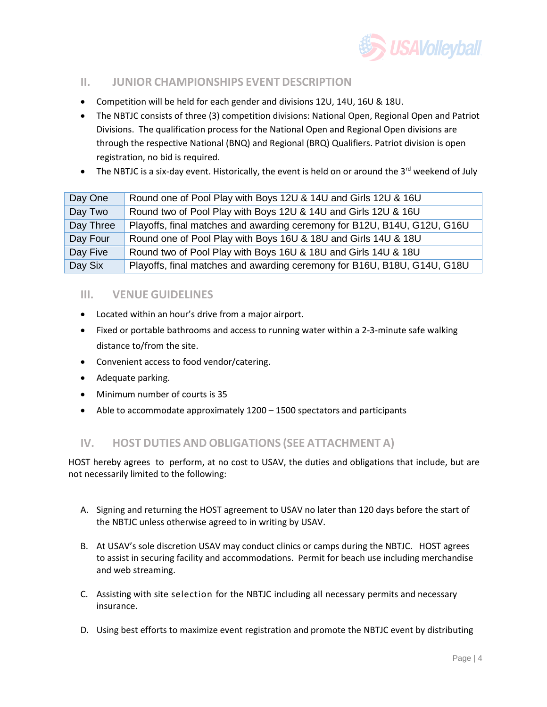

# <span id="page-3-0"></span>**II. JUNIOR CHAMPIONSHIPS EVENT DESCRIPTION**

- Competition will be held for each gender and divisions 12U, 14U, 16U & 18U.
- The NBTJC consists of three (3) competition divisions: National Open, Regional Open and Patriot Divisions. The qualification process for the National Open and Regional Open divisions are through the respective National (BNQ) and Regional (BRQ) Qualifiers. Patriot division is open registration, no bid is required.
- The NBTJC is a six-day event. Historically, the event is held on or around the  $3^{rd}$  weekend of July

| Day One   | Round one of Pool Play with Boys 12U & 14U and Girls 12U & 16U           |
|-----------|--------------------------------------------------------------------------|
| Day Two   | Round two of Pool Play with Boys 12U & 14U and Girls 12U & 16U           |
| Day Three | Playoffs, final matches and awarding ceremony for B12U, B14U, G12U, G16U |
| Day Four  | Round one of Pool Play with Boys 16U & 18U and Girls 14U & 18U           |
| Day Five  | Round two of Pool Play with Boys 16U & 18U and Girls 14U & 18U           |
| Day Six   | Playoffs, final matches and awarding ceremony for B16U, B18U, G14U, G18U |

### <span id="page-3-1"></span>**III. VENUE GUIDELINES**

- Located within an hour's drive from a major airport.
- Fixed or portable bathrooms and access to running water within a 2-3-minute safe walking distance to/from the site.
- Convenient access to food vendor/catering.
- Adequate parking.
- Minimum number of courts is 35
- Able to accommodate approximately 1200 1500 spectators and participants

### <span id="page-3-2"></span>**IV. HOST DUTIES AND OBLIGATIONS (SEE ATTACHMENT A)**

HOST hereby agrees to perform, at no cost to USAV, the duties and obligations that include, but are not necessarily limited to the following:

- A. Signing and returning the HOST agreement to USAV no later than 120 days before the start of the NBTJC unless otherwise agreed to in writing by USAV.
- B. At USAV's sole discretion USAV may conduct clinics or camps during the NBTJC. HOST agrees to assist in securing facility and accommodations. Permit for beach use including merchandise and web streaming.
- C. Assisting with site selection for the NBTJC including all necessary permits and necessary insurance.
- D. Using best efforts to maximize event registration and promote the NBTJC event by distributing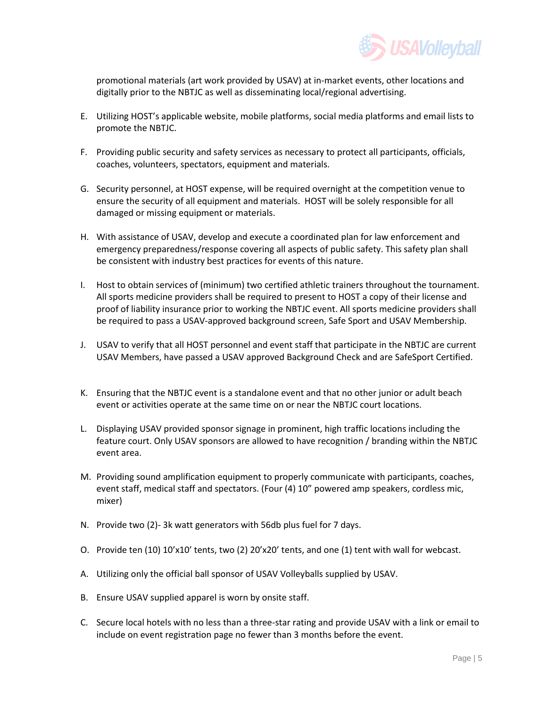

promotional materials (art work provided by USAV) at in-market events, other locations and digitally prior to the NBTJC as well as disseminating local/regional advertising.

- E. Utilizing HOST's applicable website, mobile platforms, social media platforms and email lists to promote the NBTJC.
- F. Providing public security and safety services as necessary to protect all participants, officials, coaches, volunteers, spectators, equipment and materials.
- G. Security personnel, at HOST expense, will be required overnight at the competition venue to ensure the security of all equipment and materials. HOST will be solely responsible for all damaged or missing equipment or materials.
- H. With assistance of USAV, develop and execute a coordinated plan for law enforcement and emergency preparedness/response covering all aspects of public safety. This safety plan shall be consistent with industry best practices for events of this nature.
- I. Host to obtain services of (minimum) two certified athletic trainers throughout the tournament. All sports medicine providers shall be required to present to HOST a copy of their license and proof of liability insurance prior to working the NBTJC event. All sports medicine providers shall be required to pass a USAV-approved background screen, Safe Sport and USAV Membership.
- J. USAV to verify that all HOST personnel and event staff that participate in the NBTJC are current USAV Members, have passed a USAV approved Background Check and are SafeSport Certified.
- K. Ensuring that the NBTJC event is a standalone event and that no other junior or adult beach event or activities operate at the same time on or near the NBTJC court locations.
- L. Displaying USAV provided sponsor signage in prominent, high traffic locations including the feature court. Only USAV sponsors are allowed to have recognition / branding within the NBTJC event area.
- M. Providing sound amplification equipment to properly communicate with participants, coaches, event staff, medical staff and spectators. (Four (4) 10" powered amp speakers, cordless mic, mixer)
- N. Provide two (2)- 3k watt generators with 56db plus fuel for 7 days.
- O. Provide ten (10) 10'x10' tents, two (2) 20'x20' tents, and one (1) tent with wall for webcast.
- A. Utilizing only the official ball sponsor of USAV Volleyballs supplied by USAV.
- B. Ensure USAV supplied apparel is worn by onsite staff.
- C. Secure local hotels with no less than a three-star rating and provide USAV with a link or email to include on event registration page no fewer than 3 months before the event.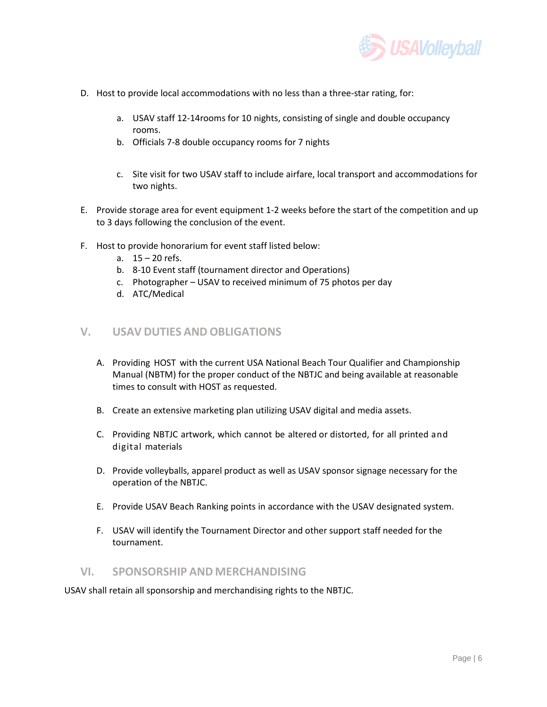

- D. Host to provide local accommodations with no less than a three-star rating, for:
	- a. USAV staff 12-14rooms for 10 nights, consisting of single and double occupancy rooms.
	- b. Officials 7-8 double occupancy rooms for 7 nights
	- c. Site visit for two USAV staff to include airfare, local transport and accommodations for two nights.
- E. Provide storage area for event equipment 1-2 weeks before the start of the competition and up to 3 days following the conclusion of the event.
- F. Host to provide honorarium for event staff listed below:
	- a. 15 20 refs.
	- b. 8-10 Event staff (tournament director and Operations)
	- c. Photographer USAV to received minimum of 75 photos per day
	- d. ATC/Medical

#### <span id="page-5-0"></span>**V. USAV DUTIES AND OBLIGATIONS**

- A. Providing HOST with the current USA National Beach Tour Qualifier and Championship Manual (NBTM) for the proper conduct of the NBTJC and being available at reasonable times to consult with HOST as requested.
- B. Create an extensive marketing plan utilizing USAV digital and media assets.
- C. Providing NBTJC artwork, which cannot be altered or distorted, for all printed and digital materials
- D. Provide volleyballs, apparel product as well as USAV sponsor signage necessary for the operation of the NBTJC.
- E. Provide USAV Beach Ranking points in accordance with the USAV designated system.
- F. USAV will identify the Tournament Director and other support staff needed for the tournament.

#### <span id="page-5-1"></span>**VI. SPONSORSHIP AND MERCHANDISING**

USAV shall retain all sponsorship and merchandising rights to the NBTJC.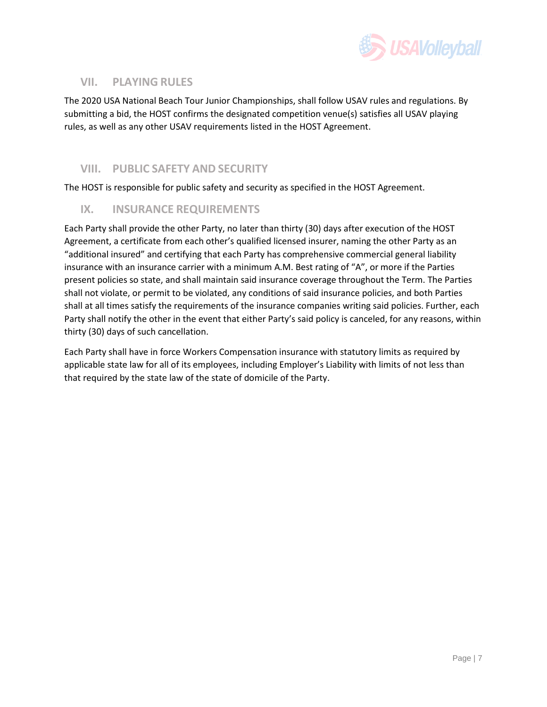

# <span id="page-6-0"></span>**VII. PLAYING RULES**

The 2020 USA National Beach Tour Junior Championships, shall follow USAV rules and regulations. By submitting a bid, the HOST confirms the designated competition venue(s) satisfies all USAV playing rules, as well as any other USAV requirements listed in the HOST Agreement.

## <span id="page-6-1"></span>**VIII. PUBLIC SAFETY AND SECURITY**

The HOST is responsible for public safety and security as specified in the HOST Agreement.

## <span id="page-6-2"></span>**IX. INSURANCE REQUIREMENTS**

Each Party shall provide the other Party, no later than thirty (30) days after execution of the HOST Agreement, a certificate from each other's qualified licensed insurer, naming the other Party as an "additional insured" and certifying that each Party has comprehensive commercial general liability insurance with an insurance carrier with a minimum A.M. Best rating of "A", or more if the Parties present policies so state, and shall maintain said insurance coverage throughout the Term. The Parties shall not violate, or permit to be violated, any conditions of said insurance policies, and both Parties shall at all times satisfy the requirements of the insurance companies writing said policies. Further, each Party shall notify the other in the event that either Party's said policy is canceled, for any reasons, within thirty (30) days of such cancellation.

Each Party shall have in force Workers Compensation insurance with statutory limits as required by applicable state law for all of its employees, including Employer's Liability with limits of not less than that required by the state law of the state of domicile of the Party.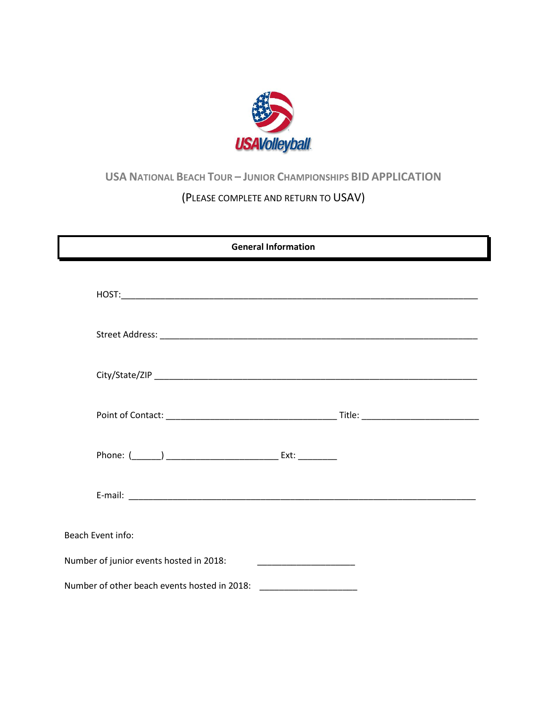

# <span id="page-7-0"></span>**USA NATIONAL BEACH TOUR – JUNIOR CHAMPIONSHIPS BID APPLICATION**

# (PLEASE COMPLETE AND RETURN TO USAV)

| <b>General Information</b>                   |  |  |  |  |
|----------------------------------------------|--|--|--|--|
|                                              |  |  |  |  |
|                                              |  |  |  |  |
|                                              |  |  |  |  |
|                                              |  |  |  |  |
|                                              |  |  |  |  |
|                                              |  |  |  |  |
| Beach Event info:                            |  |  |  |  |
| Number of junior events hosted in 2018:      |  |  |  |  |
| Number of other beach events hosted in 2018: |  |  |  |  |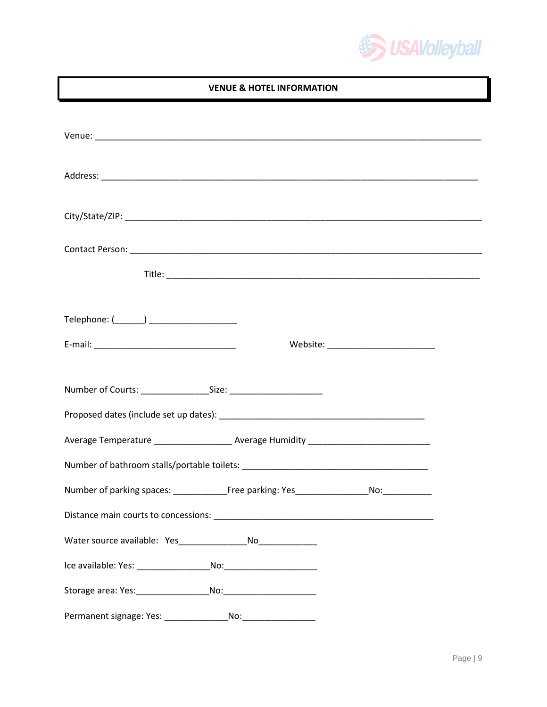

#### **VENUE & HOTEL INFORMATION**

| Website: __________________________                                                                  |  |  |  |  |  |
|------------------------------------------------------------------------------------------------------|--|--|--|--|--|
|                                                                                                      |  |  |  |  |  |
|                                                                                                      |  |  |  |  |  |
| Average Temperature ________________________ Average Humidity ___________________                    |  |  |  |  |  |
|                                                                                                      |  |  |  |  |  |
| Number of parking spaces: ______________________Free parking: Yes___________________________________ |  |  |  |  |  |
| Distance main courts to concessions:                                                                 |  |  |  |  |  |
|                                                                                                      |  |  |  |  |  |
|                                                                                                      |  |  |  |  |  |
|                                                                                                      |  |  |  |  |  |
|                                                                                                      |  |  |  |  |  |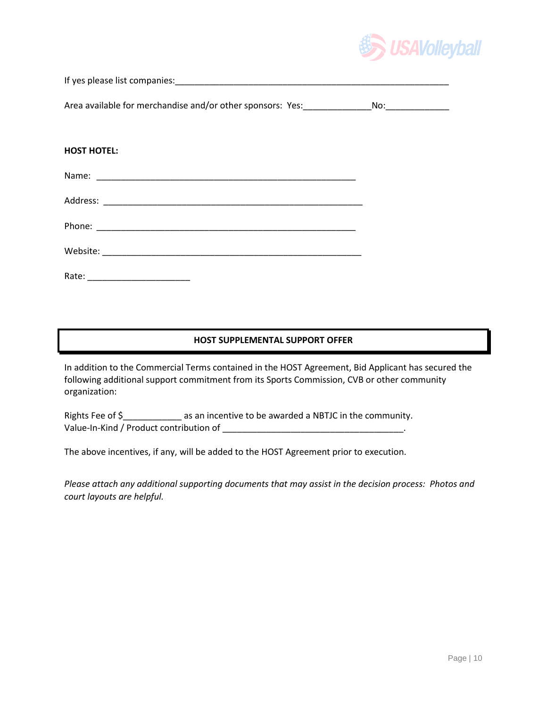

If yes please list companies:\_\_\_\_\_\_\_\_\_\_\_\_\_\_\_\_\_\_\_\_\_\_\_\_\_\_\_\_\_\_\_\_\_\_\_\_\_\_\_\_\_\_\_\_\_\_\_\_\_\_\_\_\_\_\_\_

Area available for merchandise and/or other sponsors: Yes:\_\_\_\_\_\_\_\_\_\_\_\_\_\_No:\_\_\_\_\_\_\_\_\_\_\_\_\_

#### **HOST HOTEL:**

#### **HOST SUPPLEMENTAL SUPPORT OFFER**

In addition to the Commercial Terms contained in the HOST Agreement, Bid Applicant has secured the following additional support commitment from its Sports Commission, CVB or other community organization:

Rights Fee of \$\_\_\_\_\_\_\_\_\_\_\_\_ as an incentive to be awarded a NBTJC in the community. Value-In-Kind / Product contribution of \_\_\_\_\_\_\_\_\_\_\_\_\_\_\_\_\_\_\_\_\_\_\_\_\_\_\_\_\_\_\_\_\_\_\_\_\_.

The above incentives, if any, will be added to the HOST Agreement prior to execution.

*Please attach any additional supporting documents that may assist in the decision process: Photos and court layouts are helpful.*